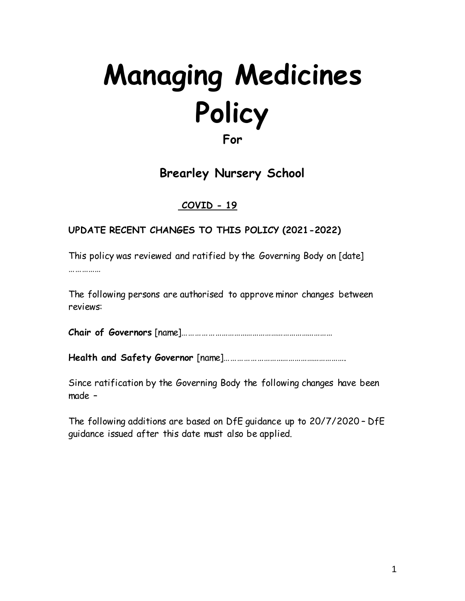# **Managing Medicines Policy For**

**Brearley Nursery School**

#### **COVID - 19**

#### **UPDATE RECENT CHANGES TO THIS POLICY (2021-2022)**

This policy was reviewed and ratified by the Governing Body on [date] ……………

The following persons are authorised to approve minor changes between reviews:

**Chair of Governors** [name]………………………………………………………………

**Health and Safety Governor** [name]………………………………………………….

Since ratification by the Governing Body the following changes have been made –

The following additions are based on DfE guidance up to 20/7/2020 – DfE guidance issued after this date must also be applied.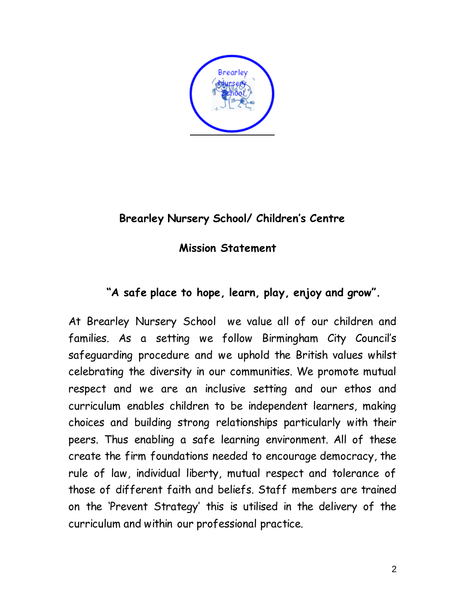

## **Brearley Nursery School/ Children's Centre**

 **Mission Statement**

# **"A safe place to hope, learn, play, enjoy and grow".**

At Brearley Nursery School we value all of our children and families. As a setting we follow Birmingham City Council's safeguarding procedure and we uphold the British values whilst celebrating the diversity in our communities. We promote mutual respect and we are an inclusive setting and our ethos and curriculum enables children to be independent learners, making choices and building strong relationships particularly with their peers. Thus enabling a safe learning environment. All of these create the firm foundations needed to encourage democracy, the rule of law, individual liberty, mutual respect and tolerance of those of different faith and beliefs. Staff members are trained on the 'Prevent Strategy' this is utilised in the delivery of the curriculum and within our professional practice.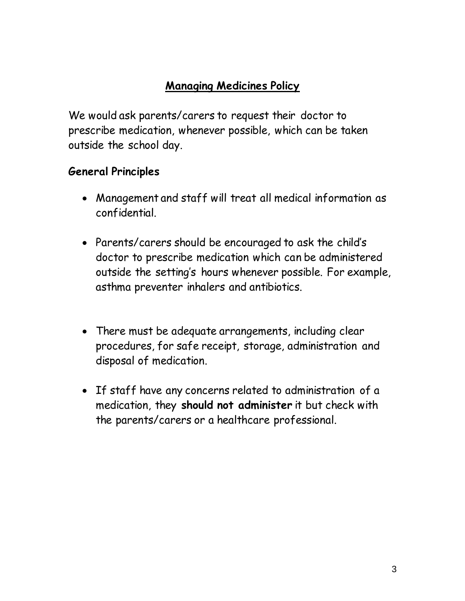# **Managing Medicines Policy**

We would ask parents/carers to request their doctor to prescribe medication, whenever possible, which can be taken outside the school day.

#### **General Principles**

- Management and staff will treat all medical information as confidential.
- Parents/carers should be encouraged to ask the child's doctor to prescribe medication which can be administered outside the setting's hours whenever possible. For example, asthma preventer inhalers and antibiotics.
- There must be adequate arrangements, including clear procedures, for safe receipt, storage, administration and disposal of medication.
- If staff have any concerns related to administration of a medication, they **should not administer** it but check with the parents/carers or a healthcare professional.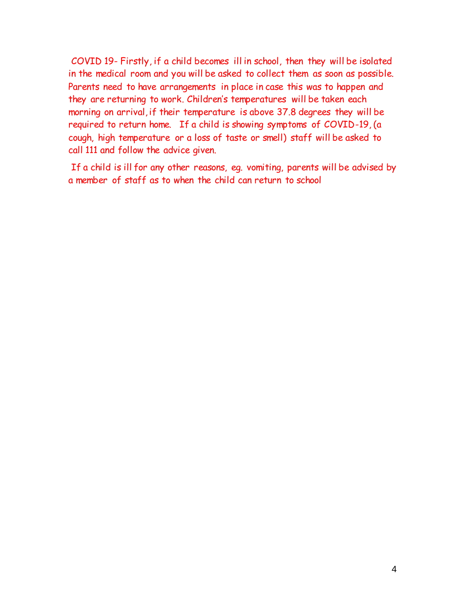COVID 19- Firstly, if a child becomes ill in school, then they will be isolated in the medical room and you will be asked to collect them as soon as possible. Parents need to have arrangements in place in case this was to happen and they are returning to work. Children's temperatures will be taken each morning on arrival, if their temperature is above 37.8 degrees they will be required to return home. If a child is showing symptoms of COVID-19, (a cough, high temperature or a loss of taste or smell) staff will be asked to call 111 and follow the advice given.

If a child is ill for any other reasons, eg. vomiting, parents will be advised by a member of staff as to when the child can return to school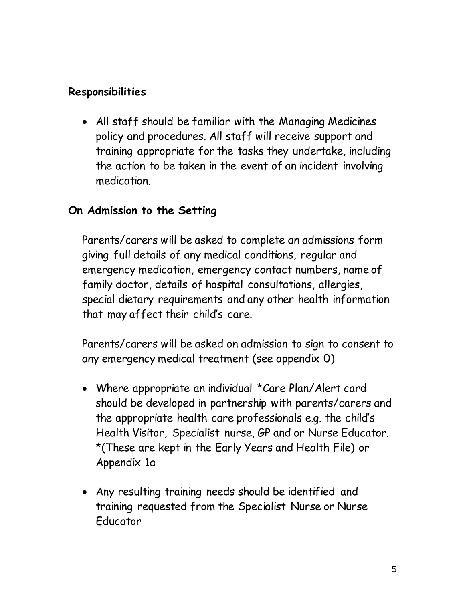#### **Responsibilities**

 All staff should be familiar with the Managing Medicines policy and procedures. All staff will receive support and training appropriate for the tasks they undertake, including the action to be taken in the event of an incident involving medication.

#### **On Admission to the Setting**

Parents/carers will be asked to complete an admissions form giving full details of any medical conditions, regular and emergency medication, emergency contact numbers, name of family doctor, details of hospital consultations, allergies, special dietary requirements and any other health information that may affect their child's care.

Parents/carers will be asked on admission to sign to consent to any emergency medical treatment (see appendix 0)

- Where appropriate an individual \*Care Plan/Alert card should be developed in partnership with parents/carers and the appropriate health care professionals e.g. the child's Health Visitor, Specialist nurse, GP and or Nurse Educator. \*(These are kept in the Early Years and Health File) or Appendix 1a
- Any resulting training needs should be identified and training requested from the Specialist Nurse or Nurse Educator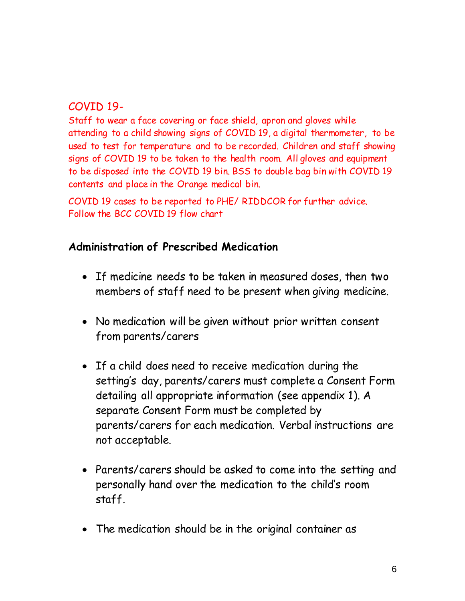#### COVID 19-

Staff to wear a face covering or face shield, apron and gloves while attending to a child showing signs of COVID 19, a digital thermometer, to be used to test for temperature and to be recorded. Children and staff showing signs of COVID 19 to be taken to the health room. All gloves and equipment to be disposed into the COVID 19 bin. BSS to double bag bin with COVID 19 contents and place in the Orange medical bin.

COVID 19 cases to be reported to PHE/ RIDDCOR for further advice. Follow the BCC COVID 19 flow chart

#### **Administration of Prescribed Medication**

- If medicine needs to be taken in measured doses, then two members of staff need to be present when giving medicine.
- No medication will be given without prior written consent from parents/carers
- If a child does need to receive medication during the setting's day, parents/carers must complete a Consent Form detailing all appropriate information (see appendix 1). A separate Consent Form must be completed by parents/carers for each medication. Verbal instructions are not acceptable.
- Parents/carers should be asked to come into the setting and personally hand over the medication to the child's room staff.
- The medication should be in the original container as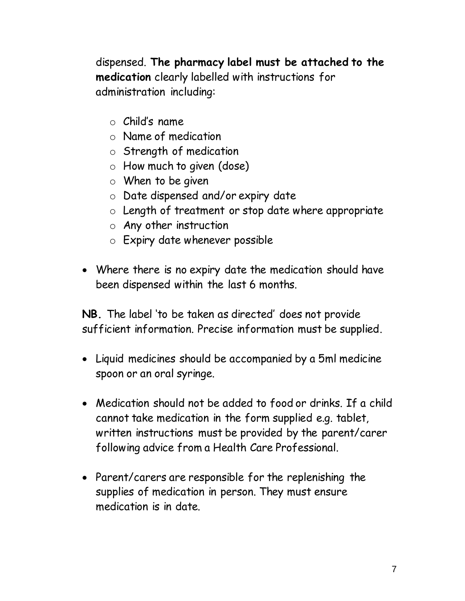dispensed. **The pharmacy label must be attached to the medication** clearly labelled with instructions for administration including:

- $\circ$  Child's name
- o Name of medication
- o Strength of medication
- o How much to given (dose)
- o When to be given
- o Date dispensed and/or expiry date
- o Length of treatment or stop date where appropriate
- o Any other instruction
- o Expiry date whenever possible
- Where there is no expiry date the medication should have been dispensed within the last 6 months.

**NB.** The label 'to be taken as directed' does not provide sufficient information. Precise information must be supplied.

- Liquid medicines should be accompanied by a 5ml medicine spoon or an oral syringe.
- Medication should not be added to food or drinks. If a child cannot take medication in the form supplied e.g. tablet, written instructions must be provided by the parent/carer following advice from a Health Care Professional.
- Parent/carers are responsible for the replenishing the supplies of medication in person. They must ensure medication is in date.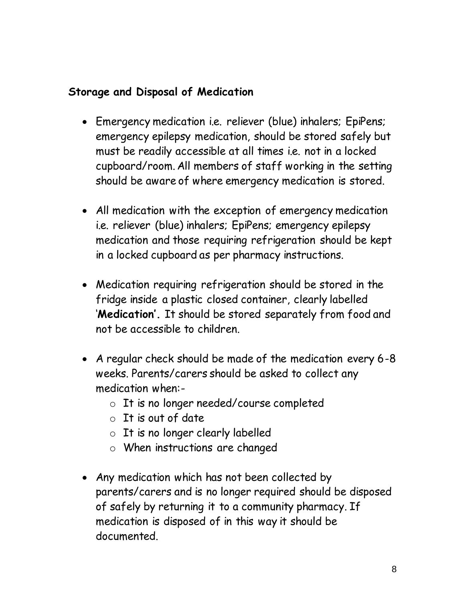#### **Storage and Disposal of Medication**

- Emergency medication i.e. reliever (blue) inhalers; EpiPens; emergency epilepsy medication, should be stored safely but must be readily accessible at all times i.e. not in a locked cupboard/room. All members of staff working in the setting should be aware of where emergency medication is stored.
- All medication with the exception of emergency medication i.e. reliever (blue) inhalers; EpiPens; emergency epilepsy medication and those requiring refrigeration should be kept in a locked cupboard as per pharmacy instructions.
- Medication requiring refrigeration should be stored in the fridge inside a plastic closed container, clearly labelled '**Medication'.** It should be stored separately from food and not be accessible to children.
- A regular check should be made of the medication every 6-8 weeks. Parents/carers should be asked to collect any medication when:
	- o It is no longer needed/course completed
	- $\circ$  It is out of date
	- o It is no longer clearly labelled
	- o When instructions are changed
- Any medication which has not been collected by parents/carers and is no longer required should be disposed of safely by returning it to a community pharmacy. If medication is disposed of in this way it should be documented.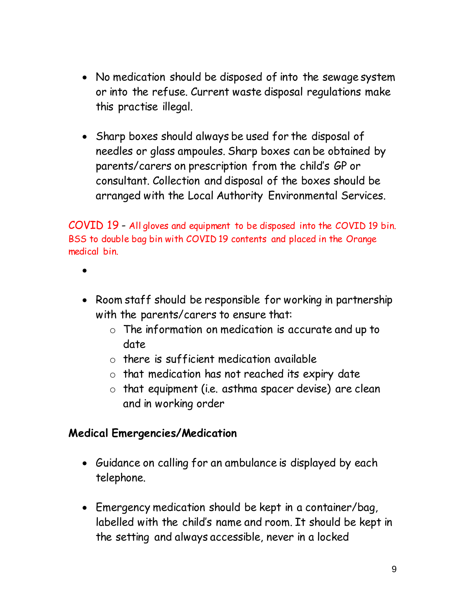- No medication should be disposed of into the sewage system or into the refuse. Current waste disposal regulations make this practise illegal.
- Sharp boxes should always be used for the disposal of needles or glass ampoules. Sharp boxes can be obtained by parents/carers on prescription from the child's GP or consultant. Collection and disposal of the boxes should be arranged with the Local Authority Environmental Services.

COVID 19 - All gloves and equipment to be disposed into the COVID 19 bin. BSS to double bag bin with COVID 19 contents and placed in the Orange medical bin.

- $\bullet$
- Room staff should be responsible for working in partnership with the parents/carers to ensure that:
	- o The information on medication is accurate and up to date
	- o there is sufficient medication available
	- o that medication has not reached its expiry date
	- o that equipment (i.e. asthma spacer devise) are clean and in working order

#### **Medical Emergencies/Medication**

- Guidance on calling for an ambulance is displayed by each telephone.
- Emergency medication should be kept in a container/bag, labelled with the child's name and room. It should be kept in the setting and always accessible, never in a locked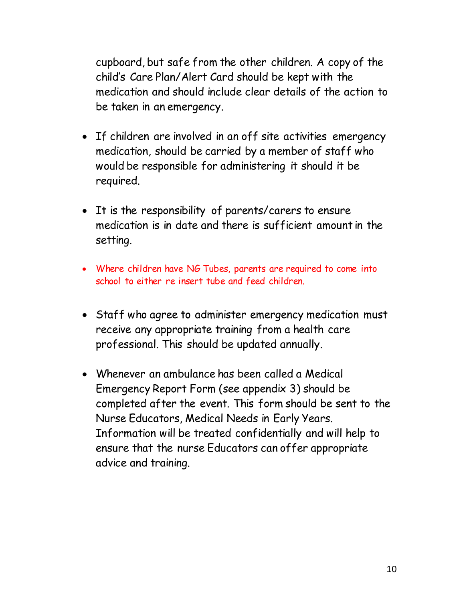cupboard, but safe from the other children. A copy of the child's Care Plan/Alert Card should be kept with the medication and should include clear details of the action to be taken in an emergency.

- If children are involved in an off site activities emergency medication, should be carried by a member of staff who would be responsible for administering it should it be required.
- It is the responsibility of parents/carers to ensure medication is in date and there is sufficient amount in the setting.
- Where children have NG Tubes, parents are required to come into school to either re insert tube and feed children.
- Staff who agree to administer emergency medication must receive any appropriate training from a health care professional. This should be updated annually.
- Whenever an ambulance has been called a Medical Emergency Report Form (see appendix 3) should be completed after the event. This form should be sent to the Nurse Educators, Medical Needs in Early Years. Information will be treated confidentially and will help to ensure that the nurse Educators can offer appropriate advice and training.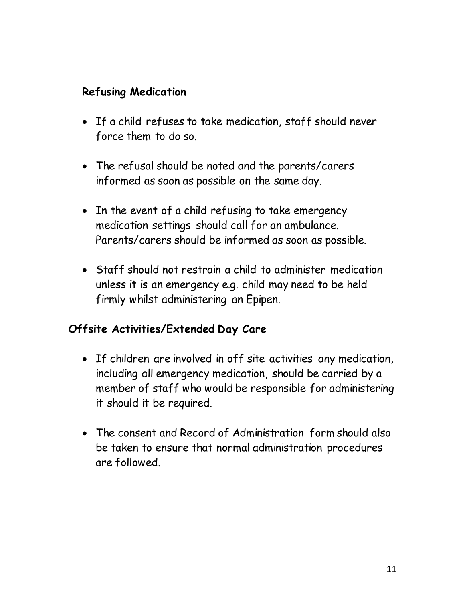#### **Refusing Medication**

- If a child refuses to take medication, staff should never force them to do so.
- The refusal should be noted and the parents/carers informed as soon as possible on the same day.
- In the event of a child refusing to take emergency medication settings should call for an ambulance. Parents/carers should be informed as soon as possible.
- Staff should not restrain a child to administer medication unless it is an emergency e.g. child may need to be held firmly whilst administering an Epipen.

## **Offsite Activities/Extended Day Care**

- If children are involved in off site activities any medication, including all emergency medication, should be carried by a member of staff who would be responsible for administering it should it be required.
- The consent and Record of Administration form should also be taken to ensure that normal administration procedures are followed.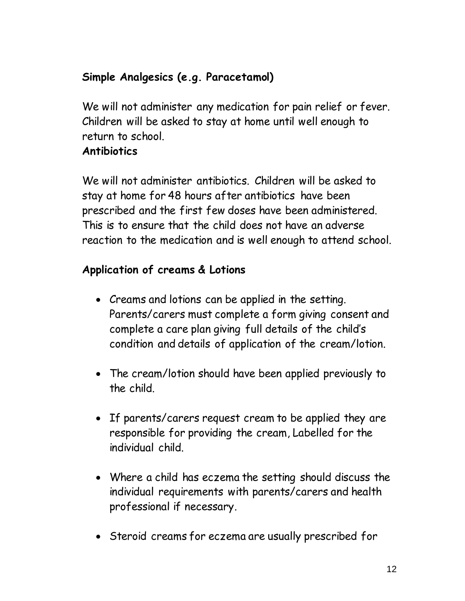# **Simple Analgesics (e.g. Paracetamol)**

We will not administer any medication for pain relief or fever. Children will be asked to stay at home until well enough to return to school.

#### **Antibiotics**

We will not administer antibiotics. Children will be asked to stay at home for 48 hours after antibiotics have been prescribed and the first few doses have been administered. This is to ensure that the child does not have an adverse reaction to the medication and is well enough to attend school.

## **Application of creams & Lotions**

- Creams and lotions can be applied in the setting. Parents/carers must complete a form giving consent and complete a care plan giving full details of the child's condition and details of application of the cream/lotion.
- The cream/lotion should have been applied previously to the child.
- If parents/carers request cream to be applied they are responsible for providing the cream, Labelled for the individual child.
- Where a child has eczema the setting should discuss the individual requirements with parents/carers and health professional if necessary.
- Steroid creams for eczema are usually prescribed for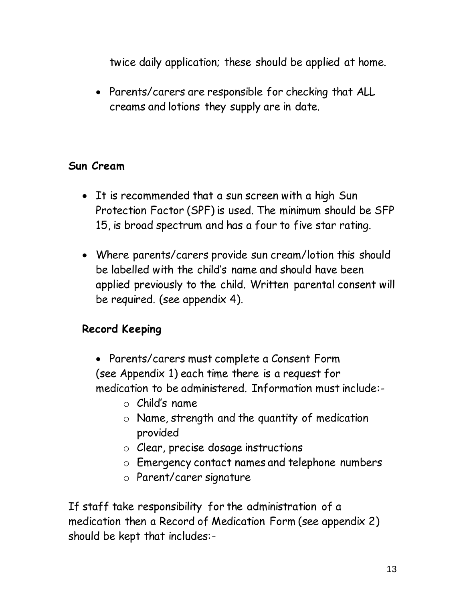twice daily application; these should be applied at home.

 Parents/carers are responsible for checking that ALL creams and lotions they supply are in date.

#### **Sun Cream**

- It is recommended that a sun screen with a high Sun Protection Factor (SPF) is used. The minimum should be SFP 15, is broad spectrum and has a four to five star rating.
- Where parents/carers provide sun cream/lotion this should be labelled with the child's name and should have been applied previously to the child. Written parental consent will be required. (see appendix 4).

## **Record Keeping**

- Parents/carers must complete a Consent Form (see Appendix 1) each time there is a request for medication to be administered. Information must include:
	- o Child's name
	- o Name, strength and the quantity of medication provided
	- o Clear, precise dosage instructions
	- o Emergency contact names and telephone numbers
	- o Parent/carer signature

If staff take responsibility for the administration of a medication then a Record of Medication Form (see appendix 2) should be kept that includes:-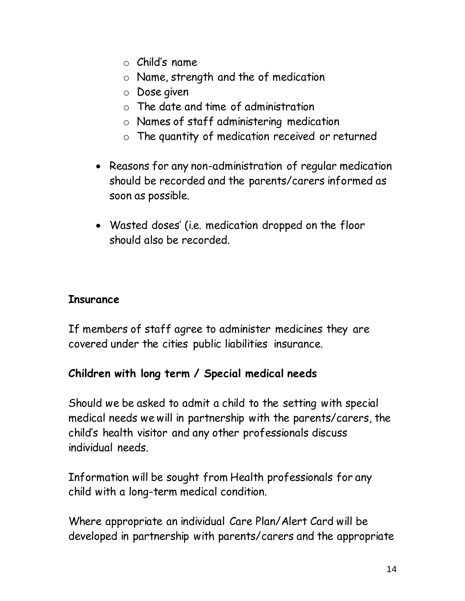- $\circ$  Child's name
- o Name, strength and the of medication
- o Dose given
- o The date and time of administration
- o Names of staff administering medication
- o The quantity of medication received or returned
- Reasons for any non-administration of regular medication should be recorded and the parents/carers informed as soon as possible.
- Wasted doses' (i.e. medication dropped on the floor should also be recorded.

## **Insurance**

If members of staff agree to administer medicines they are covered under the cities public liabilities insurance.

# **Children with long term / Special medical needs**

Should we be asked to admit a child to the setting with special medical needs we will in partnership with the parents/carers, the child's health visitor and any other professionals discuss individual needs.

Information will be sought from Health professionals for any child with a long-term medical condition.

Where appropriate an individual Care Plan/Alert Card will be developed in partnership with parents/carers and the appropriate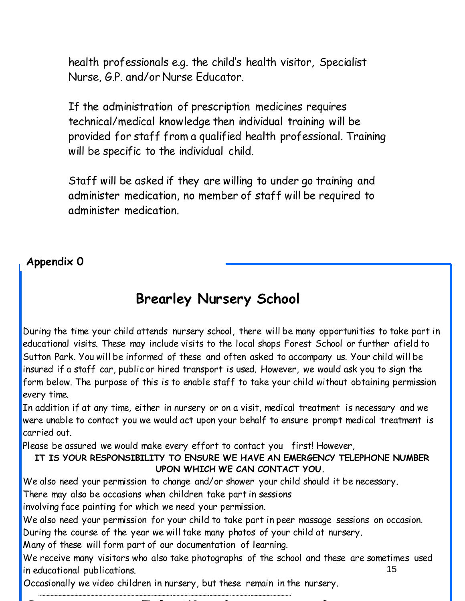health professionals e.g. the child's health visitor, Specialist Nurse, G.P. and/or Nurse Educator.

If the administration of prescription medicines requires technical/medical knowledge then individual training will be provided for staff from a qualified health professional. Training will be specific to the individual child.

Staff will be asked if they are willing to under go training and administer medication, no member of staff will be required to administer medication.

#### **Appendix 0**

# **Brearley Nursery School**

During the time your child attends nursery school, there will be many opportunities to take part in educational visits. These may include visits to the local shops Forest School or further afield to Sutton Park. You will be informed of these and often asked to accompany us. Your child will be insured if a staff car, public or hired transport is used. However, we would ask you to sign the form below. The purpose of this is to enable staff to take your child without obtaining permission every time.

In addition if at any time, either in nursery or on a visit, medical treatment is necessary and we were unable to contact you we would act upon your behalf to ensure prompt medical treatment is carried out.

Please be assured we would make every effort to contact you first! However,

#### **IT IS YOUR RESPONSIBILITY TO ENSURE WE HAVE AN EMERGENCY TELEPHONE NUMBER UPON WHICH WE CAN CONTACT YOU.**

We also need your permission to change and/or shower your child should it be necessary.

There may also be occasions when children take part in sessions

involving face painting for which we need your permission.

We also need your permission for your child to take part in peer massage sessions on occasion. During the course of the year we will take many photos of your child at nursery.

Many of these will form part of our documentation of learning.

.**……………………………………………………………………………………………………………………………………………………………………**

15 We receive many visitors who also take photographs of the school and these are sometimes used in educational publications.

I: ………………………………………….The Parent/Carer of:……………………………………..Room…………………………….

Occasionally we video children in nursery, but these remain in the nursery.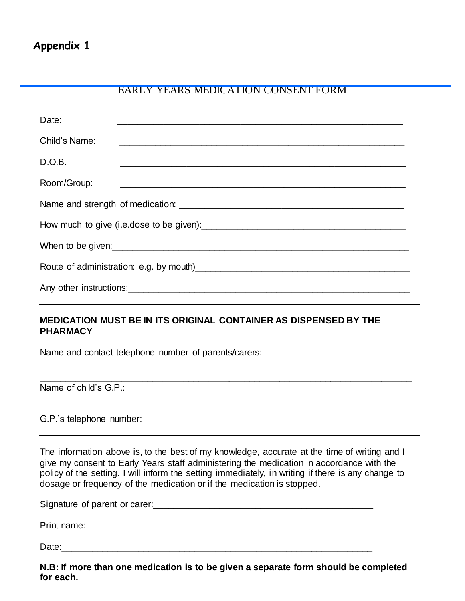#### EARLY YEARS MEDICATION CONSENT FORM

| Date:         |  |
|---------------|--|
| Child's Name: |  |
| D.O.B.        |  |
| Room/Group:   |  |
|               |  |
|               |  |
|               |  |
|               |  |
|               |  |

#### **MEDICATION MUST BE IN ITS ORIGINAL CONTAINER AS DISPENSED BY THE PHARMACY**

Name and contact telephone number of parents/carers:

Name of child's G.P.:

G.P.'s telephone number:

dosage or frequency of the medication or if the medication is stopped. The information above is, to the best of my knowledge, accurate at the time of writing and I give my consent to Early Years staff administering the medication in accordance with the policy of the setting. I will inform the setting immediately, in writing if there is any change to

\_\_\_\_\_\_\_\_\_\_\_\_\_\_\_\_\_\_\_\_\_\_\_\_\_\_\_\_\_\_\_\_\_\_\_\_\_\_\_\_\_\_\_\_\_\_\_\_\_\_\_\_\_\_\_\_\_\_\_\_\_\_\_\_\_\_\_\_\_\_\_\_\_

\_\_\_\_\_\_\_\_\_\_\_\_\_\_\_\_\_\_\_\_\_\_\_\_\_\_\_\_\_\_\_\_\_\_\_\_\_\_\_\_\_\_\_\_\_\_\_\_\_\_\_\_\_\_\_\_\_\_\_\_\_\_\_\_\_\_\_\_\_\_\_\_\_

Signature of parent or carer:\_\_\_\_\_\_\_\_\_\_\_\_\_\_\_\_\_\_\_\_\_\_\_\_\_\_\_\_\_\_\_\_\_\_\_\_\_\_\_\_\_\_\_

Print name:\_\_\_\_\_\_\_\_\_\_\_\_\_\_\_\_\_\_\_\_\_\_\_\_\_\_\_\_\_\_\_\_\_\_\_\_\_\_\_\_\_\_\_\_\_\_\_\_\_\_\_\_\_\_\_\_

Date:\_\_\_\_\_\_\_\_\_\_\_\_\_\_\_\_\_\_\_\_\_\_\_\_\_\_\_\_\_\_\_\_\_\_\_\_\_\_\_\_\_\_\_\_\_\_\_\_\_\_\_\_\_\_\_\_\_\_\_\_\_

16 **N.B: If more than one medication is to be given a separate form should be completed for each.**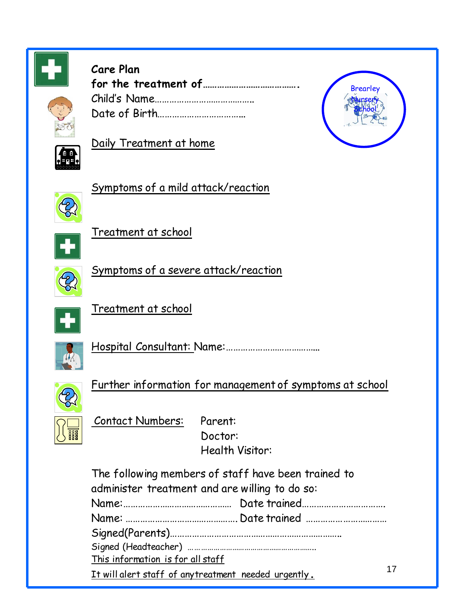

# **Care Plan for the treatment of………………………………….** Child's Name………………………………….. Date of Birth……………………………...



17



## Daily Treatment at home



Symptoms of a mild attack/reaction



Treatment at school



Symptoms of a severe attack/reaction



Treatment at school



Hospital Consultant: Name:………………………………...



Further information for management of symptoms at school



Contact Numbers: Parent: Doctor:

Health Visitor:

The following members of staff have been trained to administer treatment and are willing to do so: Name:……………………………………… Date trained……………………………. Name: ………………………………………. Date trained …………………………… Signed(Parents)…………………………………………………………….. Signed (Headteacher) …………………………………………………….. This information is for all staff It will alert staff of anytreatment needed urgently**.**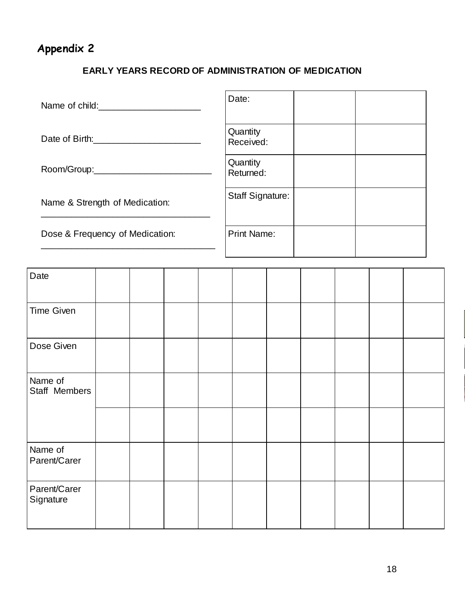# **Appendix 2**

#### **EARLY YEARS RECORD OF ADMINISTRATION OF MEDICATION**

| Name of child:                  | Date:                   |
|---------------------------------|-------------------------|
| Date of Birth: Date of Birth:   | Quantity<br>Received:   |
|                                 | Quantity<br>Returned:   |
| Name & Strength of Medication:  | <b>Staff Signature:</b> |
| Dose & Frequency of Medication: | <b>Print Name:</b>      |

| Date                      |  |  |  |  |  |
|---------------------------|--|--|--|--|--|
| Time Given                |  |  |  |  |  |
| Dose Given                |  |  |  |  |  |
| Name of<br>Staff Members  |  |  |  |  |  |
|                           |  |  |  |  |  |
| Name of<br>Parent/Carer   |  |  |  |  |  |
| Parent/Carer<br>Signature |  |  |  |  |  |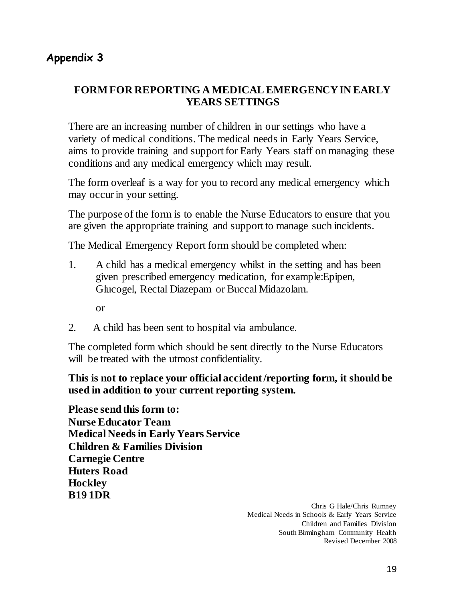#### **Appendix 3**

#### **FORM FOR REPORTING A MEDICAL EMERGENCY IN EARLY YEARS SETTINGS**

There are an increasing number of children in our settings who have a variety of medical conditions. The medical needs in Early Years Service, aims to provide training and support for Early Years staff on managing these conditions and any medical emergency which may result.

The form overleaf is a way for you to record any medical emergency which may occur in your setting.

The purpose of the form is to enable the Nurse Educators to ensure that you are given the appropriate training and support to manage such incidents.

The Medical Emergency Report form should be completed when:

1. A child has a medical emergency whilst in the setting and has been given prescribed emergency medication, for example:Epipen, Glucogel, Rectal Diazepam or Buccal Midazolam.

or

2. A child has been sent to hospital via ambulance.

The completed form which should be sent directly to the Nurse Educators will be treated with the utmost confidentiality.

**This is not to replace your official accident /reporting form, it should be used in addition to your current reporting system.**

**Please send this form to: Nurse Educator Team Medical Needs in Early Years Service Children & Families Division Carnegie Centre Huters Road Hockley B19 1DR**

> Chris G Hale/Chris Rumney Medical Needs in Schools & Early Years Service Children and Families Division South Birmingham Community Health Revised December 2008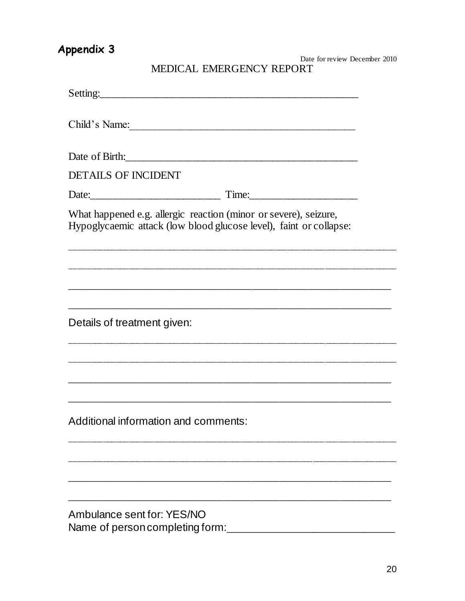# Appendix 3

Date for review December 2010 MEDICAL EMERGENCY REPORT

| Setting:                                                      |                                                                                                                                        |
|---------------------------------------------------------------|----------------------------------------------------------------------------------------------------------------------------------------|
|                                                               | Child's Name:                                                                                                                          |
|                                                               |                                                                                                                                        |
| <b>DETAILS OF INCIDENT</b>                                    |                                                                                                                                        |
|                                                               |                                                                                                                                        |
|                                                               | What happened e.g. allergic reaction (minor or severe), seizure,<br>Hypoglycaemic attack (low blood glucose level), faint or collapse: |
|                                                               |                                                                                                                                        |
| Details of treatment given:                                   |                                                                                                                                        |
|                                                               |                                                                                                                                        |
| Additional information and comments:                          |                                                                                                                                        |
|                                                               |                                                                                                                                        |
|                                                               |                                                                                                                                        |
| Ambulance sent for: YES/NO<br>Name of person completing form: |                                                                                                                                        |